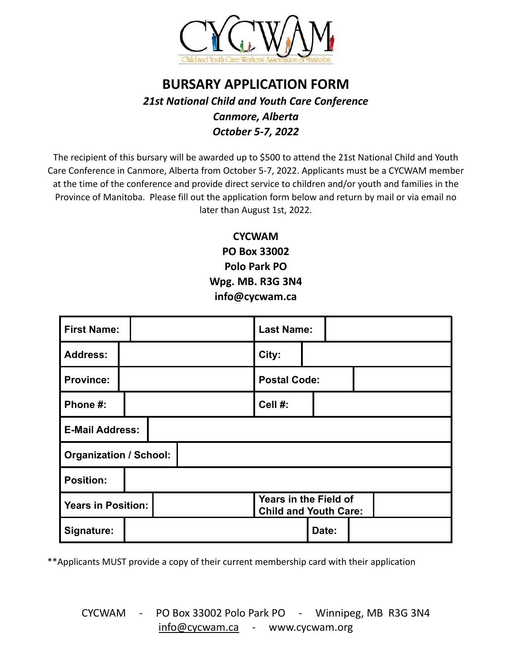

## **BURSARY APPLICATION FORM** *21st National Child and Youth Care Conference Canmore, Alberta October 5-7, 2022*

The recipient of this bursary will be awarded up to \$500 to attend the 21st National Child and Youth Care Conference in Canmore, Alberta from October 5-7, 2022. Applicants must be a CYCWAM member at the time of the conference and provide direct service to children and/or youth and families in the Province of Manitoba. Please fill out the application form below and return by mail or via email no later than August 1st, 2022.

> **CYCWAM PO Box 33002 Polo Park PO Wpg. MB. R3G 3N4 info@cycwam.ca**

| <b>First Name:</b>            |  |  | <b>Last Name:</b>                                     |                     |  |  |
|-------------------------------|--|--|-------------------------------------------------------|---------------------|--|--|
| <b>Address:</b>               |  |  | City:                                                 |                     |  |  |
| <b>Province:</b>              |  |  |                                                       | <b>Postal Code:</b> |  |  |
| Phone #:                      |  |  | Cell #:                                               |                     |  |  |
| <b>E-Mail Address:</b>        |  |  |                                                       |                     |  |  |
| <b>Organization / School:</b> |  |  |                                                       |                     |  |  |
| <b>Position:</b>              |  |  |                                                       |                     |  |  |
| <b>Years in Position:</b>     |  |  | Years in the Field of<br><b>Child and Youth Care:</b> |                     |  |  |
| Signature:                    |  |  |                                                       | Date:               |  |  |

\*\*Applicants MUST provide a copy of their current membership card with their application

CYCWAM - PO Box 33002 Polo Park PO - Winnipeg, MB R3G 3N4 [info@cycwam.ca](mailto:info@cycwam.ca) - www.cycwam.org